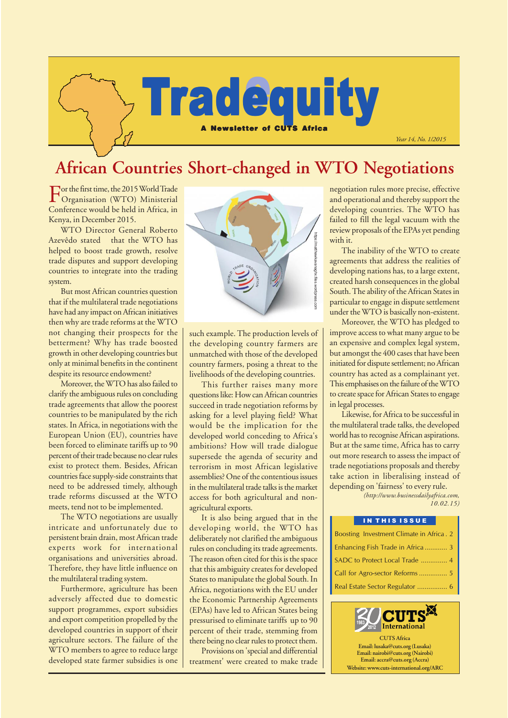

# **African Countries Short-changed in WTO Negotiations**

For the first time, the 2015 World Trade Organisation (WTO) Ministerial Conference would be held in Africa, in Kenya, in December 2015.

WTO Director General Roberto Azevêdo stated that the WTO has helped to boost trade growth, resolve trade disputes and support developing countries to integrate into the trading system.

But most African countries question that if the multilateral trade negotiations have had any impact on African initiatives then why are trade reforms at the WTO not changing their prospects for the betterment? Why has trade boosted growth in other developing countries but only at minimal benefits in the continent despite its resource endowment?

Moreover, the WTO has also failed to clarify the ambiguous rules on concluding trade agreements that allow the poorest countries to be manipulated by the rich states. In Africa, in negotiations with the European Union (EU), countries have been forced to eliminate tariffs up to 90 percent of their trade because no clear rules exist to protect them. Besides, African countries face supply-side constraints that need to be addressed timely, although trade reforms discussed at the WTO meets, tend not to be implemented.

The WTO negotiations are usually intricate and unfortunately due to persistent brain drain, most African trade experts work for international organisations and universities abroad. Therefore, they have little influence on the multilateral trading system.

Furthermore, agriculture has been adversely affected due to domestic support programmes, export subsidies and export competition propelled by the developed countries in support of their agriculture sectors. The failure of the WTO members to agree to reduce large developed state farmer subsidies is one



such example. The production levels of the developing country farmers are unmatched with those of the developed country farmers, posing a threat to the livelihoods of the developing countries.

This further raises many more questions like: How can African countries succeed in trade negotiation reforms by asking for a level playing field? What would be the implication for the developed world conceding to Africa's ambitions? How will trade dialogue supersede the agenda of security and terrorism in most African legislative assemblies? One of the contentious issues in the multilateral trade talks is the market access for both agricultural and nonagricultural exports.

It is also being argued that in the developing world, the WTO has deliberately not clarified the ambiguous rules on concluding its trade agreements. The reason often cited for this is the space that this ambiguity creates for developed States to manipulate the global South. In Africa, negotiations with the EU under the Economic Partnership Agreements (EPAs) have led to African States being pressurised to eliminate tariffs up to 90 percent of their trade, stemming from there being no clear rules to protect them.

Provisions on 'special and differential treatment' were created to make trade negotiation rules more precise, effective and operational and thereby support the developing countries. The WTO has failed to fill the legal vacuum with the review proposals of the EPAs yet pending with it.

The inability of the WTO to create agreements that address the realities of developing nations has, to a large extent, created harsh consequences in the global South. The ability of the African States in particular to engage in dispute settlement under the WTO is basically non-existent.

Moreover, the WTO has pledged to improve access to what many argue to be an expensive and complex legal system, but amongst the 400 cases that have been initiated for dispute settlement; no African country has acted as a complainant yet. This emphasises on the failure of the WTO to create space for African States to engage in legal processes.

Likewise, for Africa to be successful in the multilateral trade talks, the developed world has to recognise African aspirations. But at the same time, Africa has to carry out more research to assess the impact of trade negotiations proposals and thereby take action in liberalising instead of depending on 'fairness' to every rule.

> *(http://www.businessdailyafrica.com, 10.02.15)*

#### IN THIS ISSUE

| Boosting Investment Climate in Africa. 2 |
|------------------------------------------|
| Enhancing Fish Trade in Africa  3        |
|                                          |
|                                          |
|                                          |

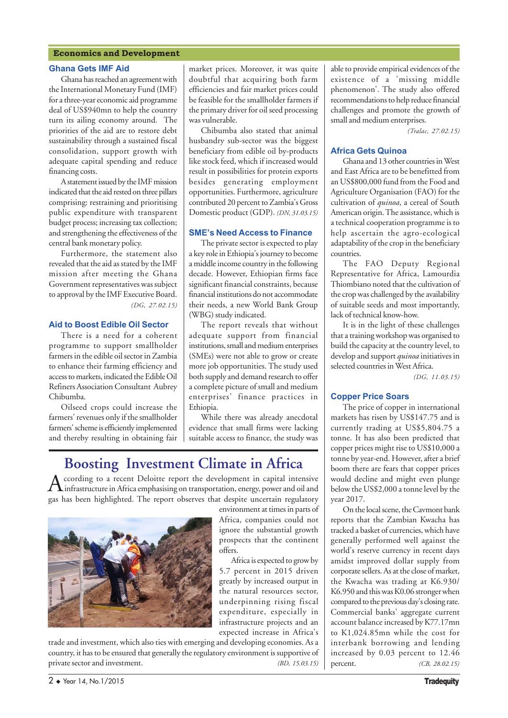#### **Economics and Development**

#### **Ghana Gets IMF Aid**

Ghana has reached an agreement with the International Monetary Fund (IMF) for a three-year economic aid programme deal of US\$940mn to help the country turn its ailing economy around. The priorities of the aid are to restore debt sustainability through a sustained fiscal consolidation, support growth with adequate capital spending and reduce financing costs.

A statement issued by the IMF mission indicated that the aid rested on three pillars comprising: restraining and prioritising public expenditure with transparent budget process; increasing tax collection; and strengthening the effectiveness of the central bank monetary policy.

Furthermore, the statement also revealed that the aid as stated by the IMF mission after meeting the Ghana Government representatives was subject to approval by the IMF Executive Board. *(DG, 27.02.15)*

#### **Aid to Boost Edible Oil Sector**

There is a need for a coherent programme to support smallholder farmers in the edible oil sector in Zambia to enhance their farming efficiency and access to markets, indicated the Edible Oil Refiners Association Consultant Aubrey Chibumba.

Oilseed crops could increase the farmers' revenues only if the smallholder farmers' scheme is efficiently implemented and thereby resulting in obtaining fair

market prices. Moreover, it was quite doubtful that acquiring both farm efficiencies and fair market prices could be feasible for the smallholder farmers if the primary driver for oil seed processing was vulnerable.

Chibumba also stated that animal husbandry sub-sector was the biggest beneficiary from edible oil by-products like stock feed, which if increased would result in possibilities for protein exports besides generating employment opportunities. Furthermore, agriculture contributed 20 percent to Zambia's Gross Domestic product (GDP). *(DN, 31.03.15)*

#### **SMEís Need Access to Finance**

The private sector is expected to play a key role in Ethiopia's journey to become a middle income country in the following decade. However, Ethiopian firms face significant financial constraints, because financial institutions do not accommodate their needs, a new World Bank Group (WBG) study indicated.

The report reveals that without adequate support from financial institutions, small and medium enterprises (SMEs) were not able to grow or create more job opportunities. The study used both supply and demand research to offer a complete picture of small and medium enterprises' finance practices in Ethiopia.

While there was already anecdotal evidence that small firms were lacking suitable access to finance, the study was

Africa is expected to grow by

### **Boosting Investment Climate in Africa**

According to a recent Deloitte report the development in capital intensive<br>infrastructure in Africa emphasising on transportation, energy, power and oil and gas has been highlighted. The report observes that despite uncertain regulatory



trade and investment, which also ties with emerging and developing economies. As a country, it has to be ensured that generally the regulatory environment is supportive of

able to provide empirical evidences of the existence of a 'missing middle phenomenon'. The study also offered recommendations to help reduce financial challenges and promote the growth of small and medium enterprises.

 *(Tralac, 27.02.15)*

#### **Africa Gets Quinoa**

Ghana and 13 other countries in West and East Africa are to be benefitted from an US\$800,000 fund from the Food and Agriculture Organisation (FAO) for the cultivation of *quinoa*, a cereal of South American origin. The assistance, which is a technical cooperation programme is to help ascertain the agro-ecological adaptability of the crop in the beneficiary countries.

The FAO Deputy Regional Representative for Africa, Lamourdia Thiombiano noted that the cultivation of the crop was challenged by the availability of suitable seeds and most importantly, lack of technical know-how.

It is in the light of these challenges that a training workshop was organised to build the capacity at the country level, to develop and support *quinoa* initiatives in selected countries in West Africa.

*(DG, 11.03.15)*

#### **Copper Price Soars**

The price of copper in international markets has risen by US\$147.75 and is currently trading at US\$5,804.75 a tonne. It has also been predicted that copper prices might rise to US\$10,000 a tonne by year-end. However, after a brief boom there are fears that copper prices would decline and might even plunge below the US\$2,000 a tonne level by the year 2017.

On the local scene, the Cavmont bank reports that the Zambian Kwacha has tracked a basket of currencies, which have generally performed well against the world's reserve currency in recent days amidst improved dollar supply from corporate sellers. As at the close of market, the Kwacha was trading at K6.930/ K6.950 and this was K0.06 stronger when compared to the previous day's closing rate. Commercial banks' aggregate current account balance increased by K77.17mn to K1,024.85mn while the cost for interbank borrowing and lending increased by 0.03 percent to 12.46 percent. *(CB, 28.02.15)*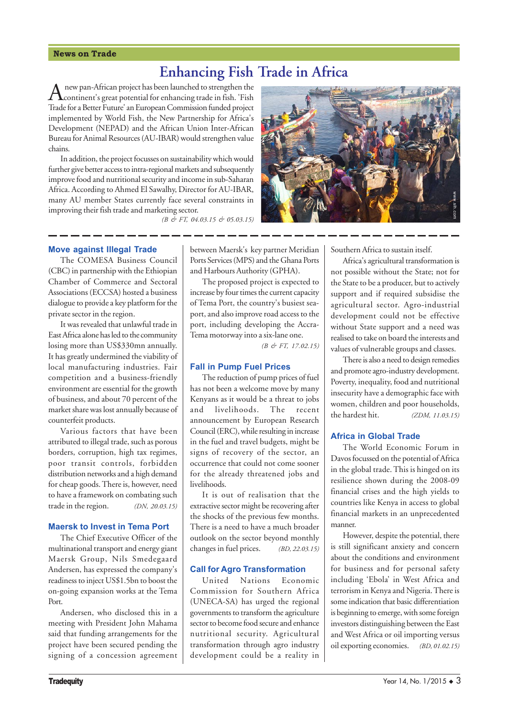#### **News on Trade**

## **Enhancing Fish Trade in Africa**

A new pan-African project has been launched to strengthen the<br>continent's great potential for enhancing trade in fish. 'Fish Trade for a Better Future' an European Commission funded project implemented by World Fish, the New Partnership for Africa's Development (NEPAD) and the African Union Inter-African Bureau for Animal Resources (AU-IBAR) would strengthen value chains.

In addition, the project focusses on sustainability which would further give better access to intra-regional markets and subsequently improve food and nutritional security and income in sub-Saharan Africa. According to Ahmed El Sawalhy, Director for AU-IBAR, many AU member States currently face several constraints in improving their fish trade and marketing sector.

*(B & FT, 04.03.15 & 05.03.15)*



#### **Move against Illegal Trade**

The COMESA Business Council (CBC) in partnership with the Ethiopian Chamber of Commerce and Sectoral Associations (ECCSA) hosted a business dialogue to provide a key platform for the private sector in the region.

It was revealed that unlawful trade in East Africa alone has led to the community losing more than US\$330mn annually. It has greatly undermined the viability of local manufacturing industries. Fair competition and a business-friendly environment are essential for the growth of business, and about 70 percent of the market share was lost annually because of counterfeit products.

Various factors that have been attributed to illegal trade, such as porous borders, corruption, high tax regimes, poor transit controls, forbidden distribution networks and a high demand for cheap goods. There is, however, need to have a framework on combating such trade in the region. *(DN, 20.03.15)*

#### **Maersk to Invest in Tema Port**

The Chief Executive Officer of the multinational transport and energy giant Maersk Group, Nils Smedegaard Andersen, has expressed the company's readiness to inject US\$1.5bn to boost the on-going expansion works at the Tema Port.

Andersen, who disclosed this in a meeting with President John Mahama said that funding arrangements for the project have been secured pending the signing of a concession agreement between Maersk's key partner Meridian Ports Services (MPS) and the Ghana Ports and Harbours Authority (GPHA).

The proposed project is expected to increase by four times the current capacity of Tema Port, the country's busiest seaport, and also improve road access to the port, including developing the Accra-Tema motorway into a six-lane one.

*(B & FT, 17.02.15)*

#### **Fall in Pump Fuel Prices**

The reduction of pump prices of fuel has not been a welcome move by many Kenyans as it would be a threat to jobs and livelihoods. The recent announcement by European Research Council (ERC), while resulting in increase in the fuel and travel budgets, might be signs of recovery of the sector, an occurrence that could not come sooner for the already threatened jobs and livelihoods.

It is out of realisation that the extractive sector might be recovering after the shocks of the previous few months. There is a need to have a much broader outlook on the sector beyond monthly changes in fuel prices. *(BD, 22.03.15)*

#### **Call for Agro Transformation**

United Nations Economic Commission for Southern Africa (UNECA-SA) has urged the regional governments to transform the agriculture sector to become food secure and enhance nutritional security. Agricultural transformation through agro industry development could be a reality in Southern Africa to sustain itself.

Africa's agricultural transformation is not possible without the State; not for the State to be a producer, but to actively support and if required subsidise the agricultural sector. Agro-industrial development could not be effective without State support and a need was realised to take on board the interests and values of vulnerable groups and classes.

There is also a need to design remedies and promote agro-industry development. Poverty, inequality, food and nutritional insecurity have a demographic face with women, children and poor households, the hardest hit. *(ZDM, 11.03.15)*

#### **Africa in Global Trade**

The World Economic Forum in Davos focussed on the potential of Africa in the global trade. This is hinged on its resilience shown during the 2008-09 financial crises and the high yields to countries like Kenya in access to global financial markets in an unprecedented manner.

However, despite the potential, there is still significant anxiety and concern about the conditions and environment for business and for personal safety including 'Ebola' in West Africa and terrorism in Kenya and Nigeria. There is some indication that basic differentiation is beginning to emerge, with some foreign investors distinguishing between the East and West Africa or oil importing versus oil exporting economies. *(BD, 01.02.15)*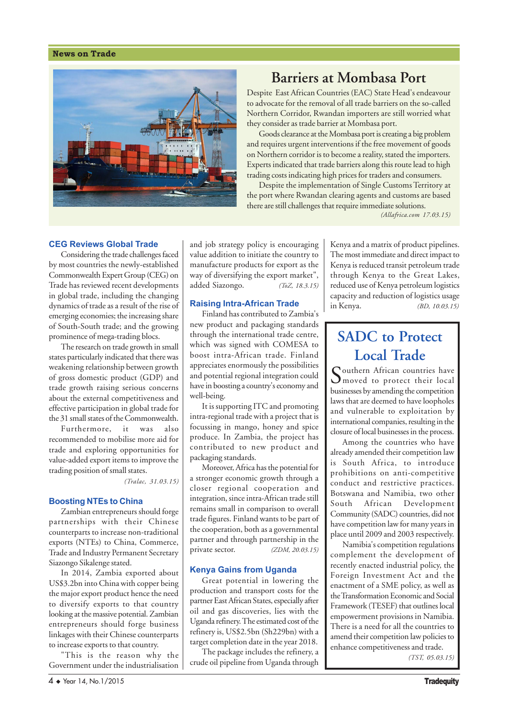#### **News on Trade**



## **Barriers at Mombasa Port**

Despite East African Countries (EAC) State Head's endeavour to advocate for the removal of all trade barriers on the so-called Northern Corridor, Rwandan importers are still worried what they consider as trade barrier at Mombasa port.

Goods clearance at the Mombasa port is creating a big problem and requires urgent interventions if the free movement of goods on Northern corridor is to become a reality, stated the importers. Experts indicated that trade barriers along this route lead to high trading costs indicating high prices for traders and consumers.

Despite the implementation of Single Customs Territory at the port where Rwandan clearing agents and customs are based there are still challenges that require immediate solutions.

*(Allafrica.com 17.03.15)*

#### **CEG Reviews Global Trade**

Considering the trade challenges faced by most countries the newly-established Commonwealth Expert Group (CEG) on Trade has reviewed recent developments in global trade, including the changing dynamics of trade as a result of the rise of emerging economies; the increasing share of South-South trade; and the growing prominence of mega-trading blocs.

The research on trade growth in small states particularly indicated that there was weakening relationship between growth of gross domestic product (GDP) and trade growth raising serious concerns about the external competitiveness and effective participation in global trade for the 31 small states of the Commonwealth.

Furthermore, it was also recommended to mobilise more aid for trade and exploring opportunities for value-added export items to improve the trading position of small states.

*(Tralac, 31.03.15)*

#### **Boosting NTEs to China**

Zambian entrepreneurs should forge partnerships with their Chinese counterparts to increase non-traditional exports (NTEs) to China, Commerce, Trade and Industry Permanent Secretary Siazongo Sikalenge stated.

In 2014, Zambia exported about US\$3.2bn into China with copper being the major export product hence the need to diversify exports to that country looking at the massive potential. Zambian entrepreneurs should forge business linkages with their Chinese counterparts to increase exports to that country.

"This is the reason why the Government under the industrialisation

and job strategy policy is encouraging value addition to initiate the country to manufacture products for export as the way of diversifying the export market", added Siazongo. *(ToZ, 18.3.15)*

#### **Raising Intra-African Trade**

Finland has contributed to Zambia's new product and packaging standards through the international trade centre, which was signed with COMESA to boost intra-African trade. Finland appreciates enormously the possibilities and potential regional integration could have in boosting a country's economy and well-being.

It is supporting ITC and promoting intra-regional trade with a project that is focussing in mango, honey and spice produce. In Zambia, the project has contributed to new product and packaging standards.

Moreover, Africa has the potential for a stronger economic growth through a closer regional cooperation and integration, since intra-African trade still remains small in comparison to overall trade figures. Finland wants to be part of the cooperation, both as a governmental partner and through partnership in the private sector. *(ZDM, 20.03.15)*

#### **Kenya Gains from Uganda**

Great potential in lowering the production and transport costs for the partner East African States, especially after oil and gas discoveries, lies with the Uganda refinery. The estimated cost of the refinery is, US\$2.5bn (Sh229bn) with a target completion date in the year 2018.

The package includes the refinery, a crude oil pipeline from Uganda through Kenya and a matrix of product pipelines. The most immediate and direct impact to Kenya is reduced transit petroleum trade through Kenya to the Great Lakes, reduced use of Kenya petroleum logistics capacity and reduction of logistics usage in Kenya. *(BD, 10.03.15)*

## **SADC to Protect Local Trade**

Couthern African countries have **I** moved to protect their local businesses by amending the competition laws that are deemed to have loopholes and vulnerable to exploitation by international companies, resulting in the closure of local businesses in the process.

Among the countries who have already amended their competition law is South Africa, to introduce prohibitions on anti-competitive conduct and restrictive practices. Botswana and Namibia, two other South African Development Community (SADC) countries, did not have competition law for many years in place until 2009 and 2003 respectively.

Namibia's competition regulations complement the development of recently enacted industrial policy, the Foreign Investment Act and the enactment of a SME policy, as well as the Transformation Economic and Social Framework (TESEF) that outlines local empowerment provisions in Namibia. There is a need for all the countries to amend their competition law policies to enhance competitiveness and trade.

*(TST, 05.03.15)*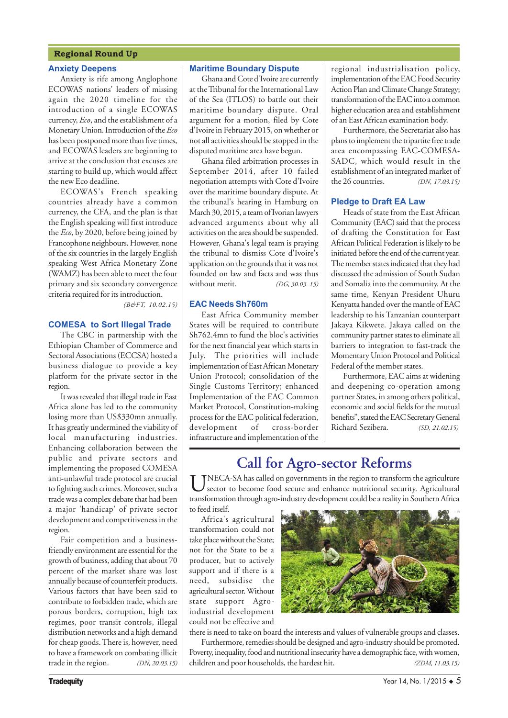#### **Regional Round Up**

#### **Anxiety Deepens**

Anxiety is rife among Anglophone ECOWAS nations' leaders of missing again the 2020 timeline for the introduction of a single ECOWAS currency, *Eco*, and the establishment of a Monetary Union. Introduction of the *Eco* has been postponed more than five times, and ECOWAS leaders are beginning to arrive at the conclusion that excuses are starting to build up, which would affect the new Eco deadline.

ECOWAS's French speaking countries already have a common currency, the CFA, and the plan is that the English speaking will first introduce the *Eco*, by 2020, before being joined by Francophone neighbours. However, none of the six countries in the largely English speaking West Africa Monetary Zone (WAMZ) has been able to meet the four primary and six secondary convergence criteria required for its introduction.

*(B&FT, 10.02.15)*

#### **COMESA to Sort Illegal Trade**

The CBC in partnership with the Ethiopian Chamber of Commerce and Sectoral Associations (ECCSA) hosted a business dialogue to provide a key platform for the private sector in the region.

It was revealed that illegal trade in East Africa alone has led to the community losing more than US\$330mn annually. It has greatly undermined the viability of local manufacturing industries. Enhancing collaboration between the public and private sectors and implementing the proposed COMESA anti-unlawful trade protocol are crucial to fighting such crimes. Moreover, such a trade was a complex debate that had been a major 'handicap' of private sector development and competitiveness in the region.

Fair competition and a businessfriendly environment are essential for the growth of business, adding that about 70 percent of the market share was lost annually because of counterfeit products. Various factors that have been said to contribute to forbidden trade, which are porous borders, corruption, high tax regimes, poor transit controls, illegal distribution networks and a high demand for cheap goods. There is, however, need to have a framework on combating illicit trade in the region. *(DN, 20.03.15)*

#### **Maritime Boundary Dispute**

Ghana and Cote d'Ivoire are currently at the Tribunal for the International Law of the Sea (ITLOS) to battle out their maritime boundary dispute. Oral argument for a motion, filed by Cote d'Ivoire in February 2015, on whether or not all activities should be stopped in the disputed maritime area have begun.

Ghana filed arbitration processes in September 2014, after 10 failed negotiation attempts with Cote d'Ivoire over the maritime boundary dispute. At the tribunal's hearing in Hamburg on March 30, 2015, a team of Ivorian lawyers advanced arguments about why all activities on the area should be suspended. However, Ghana's legal team is praying the tribunal to dismiss Cote d'Ivoire's application on the grounds that it was not founded on law and facts and was thus without merit. *(DG, 30.03. 15)*

#### **EAC Needs Sh760m**

East Africa Community member States will be required to contribute Sh762.4mn to fund the bloc's activities for the next financial year which starts in July. The priorities will include implementation of East African Monetary Union Protocol; consolidation of the Single Customs Territory; enhanced Implementation of the EAC Common Market Protocol, Constitution-making process for the EAC political federation, development of cross-border infrastructure and implementation of the

regional industrialisation policy, implementation of the EAC Food Security Action Plan and Climate Change Strategy; transformation of the EAC into a common higher education area and establishment of an East African examination body.

Furthermore, the Secretariat also has plans to implement the tripartite free trade area encompassing EAC-COMESA-SADC, which would result in the establishment of an integrated market of the 26 countries. *(DN, 17.03.15)*

#### **Pledge to Draft EA Law**

Heads of state from the East African Community (EAC) said that the process of drafting the Constitution for East African Political Federation is likely to be initiated before the end of the current year. The member states indicated that they had discussed the admission of South Sudan and Somalia into the community. At the same time, Kenyan President Uhuru Kenyatta handed over the mantle of EAC leadership to his Tanzanian counterpart Jakaya Kikwete. Jakaya called on the community partner states to eliminate all barriers to integration to fast-track the Momentary Union Protocol and Political Federal of the member states.

Furthermore, EAC aims at widening and deepening co-operation among partner States, in among others political, economic and social fields for the mutual benefits", stated the EAC Secretary General Richard Sezibera. *(SD, 21.02.15)*

### **Call for Agro-sector Reforms**

UNECA-SA has called on governments in the region to transform the agriculture sector to become food secure and enhance nutritional security. Agricultural transformation through agro-industry development could be a reality in Southern Africa to feed itself.

Africa's agricultural transformation could not take place without the State; not for the State to be a producer, but to actively support and if there is a need, subsidise the agricultural sector. Without state support Agroindustrial development could not be effective and



there is need to take on board the interests and values of vulnerable groups and classes. Furthermore, remedies should be designed and agro-industry should be promoted. Poverty, inequality, food and nutritional insecurity have a demographic face, with women, children and poor households, the hardest hit. *(ZDM, 11.03.15)*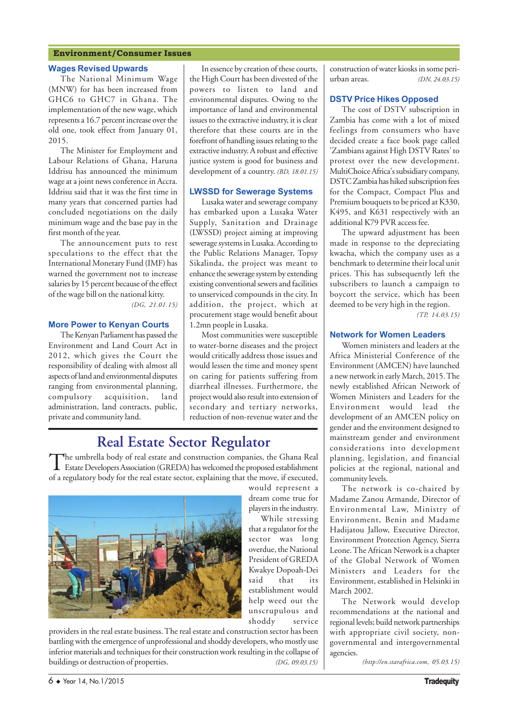#### **Environment/Consumer Issues**

#### **Wages Revised Upwards**

The National Minimum Wage (MNW) for has been increased from GHC6 to GHC7 in Ghana. The implementation of the new wage, which represents a 16.7 percent increase over the old one, took effect from January 01, 2015.

The Minister for Employment and Labour Relations of Ghana, Haruna Iddrisu has announced the minimum wage at a joint news conference in Accra. Iddrisu said that it was the first time in many years that concerned parties had concluded negotiations on the daily minimum wage and the base pay in the first month of the year.

The announcement puts to rest speculations to the effect that the International Monetary Fund (IMF) has warned the government not to increase salaries by 15 percent because of the effect of the wage bill on the national kitty.

*(DG, 21.01.15)*

#### **More Power to Kenyan Courts**

The Kenyan Parliament has passed the Environment and Land Court Act in 2012, which gives the Court the responsibility of dealing with almost all aspects of land and environmental disputes ranging from environmental planning, compulsory acquisition, land administration, land contracts, public, private and community land.

In essence by creation of these courts, the High Court has been divested of the powers to listen to land and environmental disputes. Owing to the importance of land and environmental issues to the extractive industry, it is clear therefore that these courts are in the forefront of handling issues relating to the extractive industry. A robust and effective justice system is good for business and development of a country. *(BD, 18.01.15)*

#### **LWSSD for Sewerage Systems**

Lusaka water and sewerage company has embarked upon a Lusaka Water Supply, Sanitation and Drainage (LWSSD) project aiming at improving sewerage systems in Lusaka. According to the Public Relations Manager, Topsy Sikalinda, the project was meant to enhance the sewerage system by extending existing conventional sewers and facilities to unserviced compounds in the city. In addition, the project, which at procurement stage would benefit about 1.2mn people in Lusaka.

Most communities were susceptible to water-borne diseases and the project would critically address those issues and would lessen the time and money spent on caring for patients suffering from diarrheal illnesses. Furthermore, the project would also result into extension of secondary and tertiary networks, reduction of non-revenue water and the

While stressing

### **Real Estate Sector Regulator**

The umbrella body of real estate and construction companies, the Ghana Real<br>Estate Developers Association (GREDA) has welcomed the proposed establishment of a regulatory body for the real estate sector, explaining that the move, if executed,



providers in the real estate business. The real estate and construction sector has been battling with the emergence of unprofessional and shoddy developers, who mostly use inferior materials and techniques for their construction work resulting in the collapse of buildings or destruction of properties. *(DG, 09.03.15)*

construction of water kiosks in some periurban areas. *(DN, 24.03.15)*

#### **DSTV Price Hikes Opposed**

The cost of DSTV subscription in Zambia has come with a lot of mixed feelings from consumers who have decided create a face book page called 'Zambians against High DSTV Rates' to protest over the new development. MultiChoice Africa's subsidiary company, DSTC Zambia has hiked subscription fees for the Compact, Compact Plus and Premium bouquets to be priced at K330, K495, and K631 respectively with an additional K79 PVR access fee.

The upward adjustment has been made in response to the depreciating kwacha, which the company uses as a benchmark to determine their local unit prices. This has subsequently left the subscribers to launch a campaign to boycott the service, which has been deemed to be very high in the region.

*(TP, 14.03.15)*

#### **Network for Women Leaders**

Women ministers and leaders at the Africa Ministerial Conference of the Environment (AMCEN) have launched a new network in early March, 2015. The newly established African Network of Women Ministers and Leaders for the Environment would lead the development of an AMCEN policy on gender and the environment designed to mainstream gender and environment considerations into development planning, legislation, and financial policies at the regional, national and community levels.

The network is co-chaired by Madame Zanou Armande, Director of Environmental Law, Ministry of Environment, Benin and Madame Hadijatou Jallow, Executive Director, Environment Protection Agency, Sierra Leone. The African Network is a chapter of the Global Network of Women Ministers and Leaders for the Environment, established in Helsinki in March 2002.

The Network would develop recommendations at the national and regional levels; build network partnerships with appropriate civil society, nongovernmental and intergovernmental agencies.

*(http://en.starafrica.com, 05.03.15)*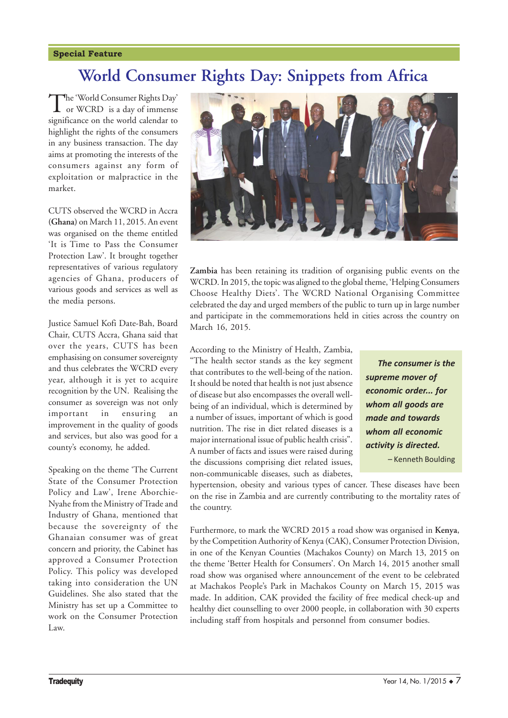#### **Special Feature**

# **World Consumer Rights Day: Snippets from Africa**

The 'World Consumer Rights Day'<br>or WCRD is a day of immense significance on the world calendar to highlight the rights of the consumers in any business transaction. The day aims at promoting the interests of the consumers against any form of exploitation or malpractice in the market.

CUTS observed the WCRD in Accra **(Ghana)** on March 11, 2015. An event was organised on the theme entitled 'It is Time to Pass the Consumer Protection Law'. It brought together representatives of various regulatory agencies of Ghana, producers of various goods and services as well as the media persons.

Justice Samuel Kofi Date-Bah, Board Chair, CUTS Accra, Ghana said that over the years, CUTS has been emphasising on consumer sovereignty and thus celebrates the WCRD every year, although it is yet to acquire recognition by the UN. Realising the consumer as sovereign was not only important in ensuring an improvement in the quality of goods and services, but also was good for a county's economy, he added.

Speaking on the theme 'The Current State of the Consumer Protection Policy and Law', Irene Aborchie-Nyahe from the Ministry of Trade and Industry of Ghana, mentioned that because the sovereignty of the Ghanaian consumer was of great concern and priority, the Cabinet has approved a Consumer Protection Policy. This policy was developed taking into consideration the UN Guidelines. She also stated that the Ministry has set up a Committee to work on the Consumer Protection Law.



**Zambia** has been retaining its tradition of organising public events on the WCRD. In 2015, the topic was aligned to the global theme, 'Helping Consumers Choose Healthy Diets'. The WCRD National Organising Committee celebrated the day and urged members of the public to turn up in large number and participate in the commemorations held in cities across the country on March 16, 2015.

According to the Ministry of Health, Zambia, "The health sector stands as the key segment that contributes to the well-being of the nation. It should be noted that health is not just absence of disease but also encompasses the overall wellbeing of an individual, which is determined by a number of issues, important of which is good nutrition. The rise in diet related diseases is a major international issue of public health crisis". A number of facts and issues were raised during the discussions comprising diet related issues, non-communicable diseases, such as diabetes,

*The consumer is the supreme mover of economic order... for whom all goods are made and towards whom all economic activity is directed.* - Kenneth Boulding

hypertension, obesity and various types of cancer. These diseases have been on the rise in Zambia and are currently contributing to the mortality rates of the country.

Furthermore, to mark the WCRD 2015 a road show was organised in **Kenya**, by the Competition Authority of Kenya (CAK), Consumer Protection Division, in one of the Kenyan Counties (Machakos County) on March 13, 2015 on the theme 'Better Health for Consumers'. On March 14, 2015 another small road show was organised where announcement of the event to be celebrated at Machakos People's Park in Machakos County on March 15, 2015 was made. In addition, CAK provided the facility of free medical check-up and healthy diet counselling to over 2000 people, in collaboration with 30 experts including staff from hospitals and personnel from consumer bodies.